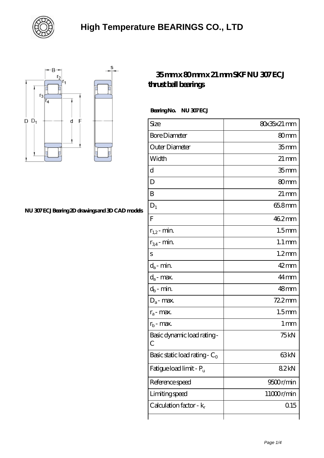



#### **[NU 307 ECJ Bearing 2D drawings and 3D CAD models](https://bjreit.com/pic-104350.html)**

#### **[35 mm x 80 mm x 21 mm SKF NU 307 ECJ](https://bjreit.com/am-104350-skf-nu-307-ecj-thrust-ball-bearings.html) [thrust ball bearings](https://bjreit.com/am-104350-skf-nu-307-ecj-thrust-ball-bearings.html)**

Bearing No. NU 307 ECJ

| Size                                | 80x35x21 mm         |
|-------------------------------------|---------------------|
| <b>Bore Diameter</b>                | 80 <sub>mm</sub>    |
| Outer Diameter                      | 35 <sub>mm</sub>    |
| Width                               | $21 \,\mathrm{mm}$  |
| d                                   | 35 <sub>mm</sub>    |
| D                                   | 80mm                |
| B                                   | $21 \,\mathrm{mm}$  |
| $D_1$                               | 65.8mm              |
| $\overline{F}$                      | 462mm               |
| $r_{1,2}$ - min.                    | 1.5 <sub>mm</sub>   |
| $r_{34}$ - min.                     | $1.1 \,\mathrm{mm}$ |
| S                                   | $1.2$ mm            |
| $d_a$ - min.                        | $42 \text{mm}$      |
| $d_a$ - max.                        | 44mm                |
| $d_b$ - min.                        | $48 \text{mm}$      |
| $D_a$ - max.                        | 72.2mm              |
| $r_a$ - max.                        | 1.5 <sub>mm</sub>   |
| $r_{b}$ - max.                      | 1 <sub>mm</sub>     |
| Basic dynamic load rating-<br>С     | 75 <sub>kN</sub>    |
| Basic static load rating - $C_0$    | 63 <sub>kN</sub>    |
| Fatigue load limit - P <sub>u</sub> | 82kN                |
| Reference speed                     | 9500r/min           |
| Limiting speed                      | 11000r/min          |
| Calculation factor - $k_r$          | 0.15                |
|                                     |                     |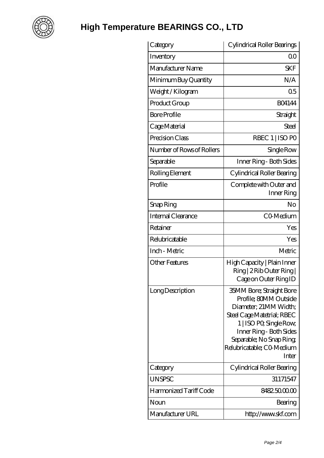

| Category                  | Cylindrical Roller Bearings                                                                                                                                                                                                             |
|---------------------------|-----------------------------------------------------------------------------------------------------------------------------------------------------------------------------------------------------------------------------------------|
| Inventory                 | 0 <sup>0</sup>                                                                                                                                                                                                                          |
| Manufacturer Name         | <b>SKF</b>                                                                                                                                                                                                                              |
| Minimum Buy Quantity      | N/A                                                                                                                                                                                                                                     |
| Weight / Kilogram         | 0 <sub>5</sub>                                                                                                                                                                                                                          |
| Product Group             | <b>BO4144</b>                                                                                                                                                                                                                           |
| <b>Bore Profile</b>       | Straight                                                                                                                                                                                                                                |
| Cage Material             | Steel                                                                                                                                                                                                                                   |
| Precision Class           | RBEC 1   ISO PO                                                                                                                                                                                                                         |
| Number of Rows of Rollers | Single Row                                                                                                                                                                                                                              |
| Separable                 | Inner Ring - Both Sides                                                                                                                                                                                                                 |
| Rolling Element           | Cylindrical Roller Bearing                                                                                                                                                                                                              |
| Profile                   | Complete with Outer and<br>Inner Ring                                                                                                                                                                                                   |
| Snap Ring                 | No                                                                                                                                                                                                                                      |
| <b>Internal Clearance</b> | CO-Medium                                                                                                                                                                                                                               |
| Retainer                  | Yes                                                                                                                                                                                                                                     |
| Relubricatable            | Yes                                                                                                                                                                                                                                     |
| Inch - Metric             | Metric                                                                                                                                                                                                                                  |
| <b>Other Features</b>     | High Capacity   Plain Inner<br>Ring   2 Rib Outer Ring  <br>Cage on Outer Ring ID                                                                                                                                                       |
| Long Description          | <b>35MM Bore, Straight Bore</b><br>Profile; 80MM Outside<br>Diameter, 21MM Width;<br>Steel Cage Matetrial; RBEC<br>1   ISO PO, Single Row,<br>Inner Ring - Both Sides<br>Separable; No Snap Ring;<br>Relubricatable; CO Medium<br>Inter |
| Category                  | Cylindrical Roller Bearing                                                                                                                                                                                                              |
| <b>UNSPSC</b>             | 31171547                                                                                                                                                                                                                                |
| Harmonized Tariff Code    | 8482500000                                                                                                                                                                                                                              |
| Noun                      | Bearing                                                                                                                                                                                                                                 |
| Manufacturer URL          | http://www.skf.com                                                                                                                                                                                                                      |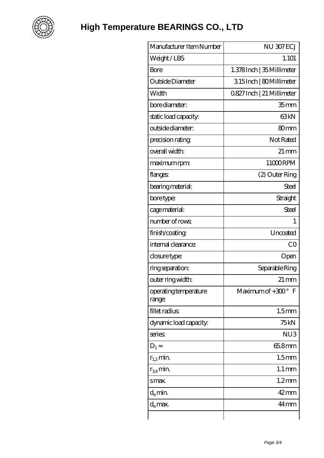

| Manufacturer Item Number        | NU 307ECJ                  |
|---------------------------------|----------------------------|
| Weight/LBS                      | 1.101                      |
| Bore                            | 1.378 Inch   35 Millimeter |
| Outside Diameter                | 315Inch   80Millimeter     |
| Width                           | 0827 Inch   21 Millimeter  |
| bore diameter:                  | 35 <sub>mm</sub>           |
| static load capacity.           | 63 <sub>kN</sub>           |
| outside diameter:               | 80mm                       |
| precision rating                | Not Rated                  |
| overall width:                  | $21 \,\mathrm{mm}$         |
| maximum rpm:                    | 11000RPM                   |
| flanges                         | (2) Outer Ring             |
| bearing material:               | Steel                      |
| bore type:                      | Straight                   |
| cage material:                  | Steel                      |
| number of rows                  | 1                          |
| finish/coating                  | Uncoated                   |
| internal clearance:             | CO                         |
| closure type:                   | Open                       |
| ring separation:                | Separable Ring             |
| outer ring width:               | $21 \,\mathrm{mm}$         |
| operating temperature<br>range: | Maximum of $+300^\circ$ F  |
| fillet radius                   | 1.5 <sub>mm</sub>          |
| dynamic load capacity:          | 75 kN                      |
| series                          | NU <sub>3</sub>            |
| $D_1$                           | 65.8mm                     |
| $r_{1,2}$ min.                  | 1.5 <sub>mm</sub>          |
| $r_{34}$ min.                   | $1.1 \,\mathrm{mm}$        |
| smax.                           | $1.2$ mm                   |
| $d_a$ min.                      | $42$ mm                    |
| $d_a$ max.                      | $44 \,\mathrm{mm}$         |
|                                 |                            |